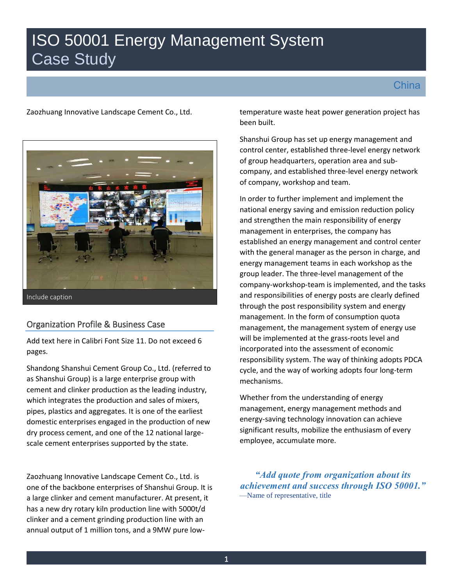# ISO 50001 Energy Management System Case Study

**China** 

Zaozhuang Innovative Landscape Cement Co., Ltd.



Include caption

## Organization Profile & Business Case

Add text here in Calibri Font Size 11. Do not exceed 6 pages.

Shandong Shanshui Cement Group Co., Ltd. (referred to as Shanshui Group) is a large enterprise group with cement and clinker production as the leading industry, which integrates the production and sales of mixers, pipes, plastics and aggregates. It is one of the earliest domestic enterprises engaged in the production of new dry process cement, and one of the 12 national largescale cement enterprises supported by the state.

Zaozhuang Innovative Landscape Cement Co., Ltd. is one of the backbone enterprises of Shanshui Group. It is a large clinker and cement manufacturer. At present, it has a new dry rotary kiln production line with 5000t/d clinker and a cement grinding production line with an annual output of 1 million tons, and a 9MW pure lowtemperature waste heat power generation project has been built.

Shanshui Group has set up energy management and control center, established three-level energy network of group headquarters, operation area and subcompany, and established three-level energy network of company, workshop and team.

In order to further implement and implement the national energy saving and emission reduction policy and strengthen the main responsibility of energy management in enterprises, the company has established an energy management and control center with the general manager as the person in charge, and energy management teams in each workshop as the group leader. The three-level management of the company-workshop-team is implemented, and the tasks and responsibilities of energy posts are clearly defined through the post responsibility system and energy management. In the form of consumption quota management, the management system of energy use will be implemented at the grass-roots level and incorporated into the assessment of economic responsibility system. The way of thinking adopts PDCA cycle, and the way of working adopts four long-term mechanisms.

Whether from the understanding of energy management, energy management methods and energy-saving technology innovation can achieve significant results, mobilize the enthusiasm of every employee, accumulate more.

*"Add quote from organization about its achievement and success through ISO 50001."* —Name of representative, title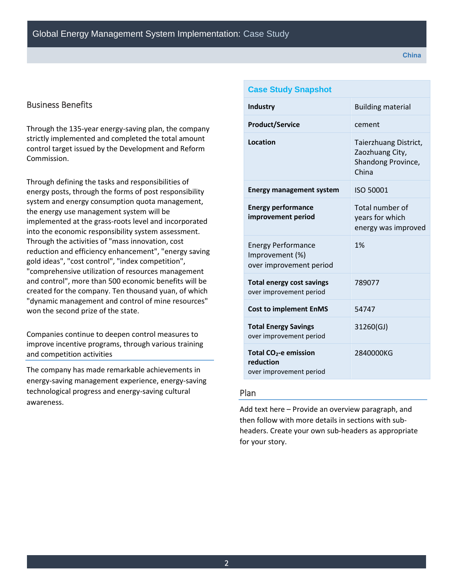## Business Benefits

Through the 135-year energy-saving plan, the company strictly implemented and completed the total amount control target issued by the Development and Reform Commission.

Through defining the tasks and responsibilities of energy posts, through the forms of post responsibility system and energy consumption quota management, the energy use management system will be implemented at the grass-roots level and incorporated into the economic responsibility system assessment. Through the activities of "mass innovation, cost reduction and efficiency enhancement", "energy saving gold ideas", "cost control", "index competition", "comprehensive utilization of resources management and control", more than 500 economic benefits will be created for the company. Ten thousand yuan, of which "dynamic management and control of mine resources" won the second prize of the state.

Companies continue to deepen control measures to improve incentive programs, through various training and competition activities

The company has made remarkable achievements in energy-saving management experience, energy-saving technological progress and energy-saving cultural awareness.

| <b>Case Study Snapshot</b>                                                |                                                                         |
|---------------------------------------------------------------------------|-------------------------------------------------------------------------|
| <b>Industry</b>                                                           | <b>Building material</b>                                                |
| <b>Product/Service</b>                                                    | cement                                                                  |
| Location                                                                  | Taierzhuang District,<br>Zaozhuang City,<br>Shandong Province,<br>China |
| <b>Energy management system</b>                                           | ISO 50001                                                               |
| <b>Energy performance</b><br>improvement period                           | Total number of<br>years for which<br>energy was improved               |
| <b>Energy Performance</b><br>Improvement (%)<br>over improvement period   | 1%                                                                      |
| <b>Total energy cost savings</b><br>over improvement period               | 789077                                                                  |
| <b>Cost to implement EnMS</b>                                             | 54747                                                                   |
| <b>Total Energy Savings</b><br>over improvement period                    | 31260(GJ)                                                               |
| Total CO <sub>2</sub> -e emission<br>reduction<br>over improvement period | 2840000KG                                                               |

## Plan

Add text here – Provide an overview paragraph, and then follow with more details in sections with subheaders. Create your own sub-headers as appropriate for your story.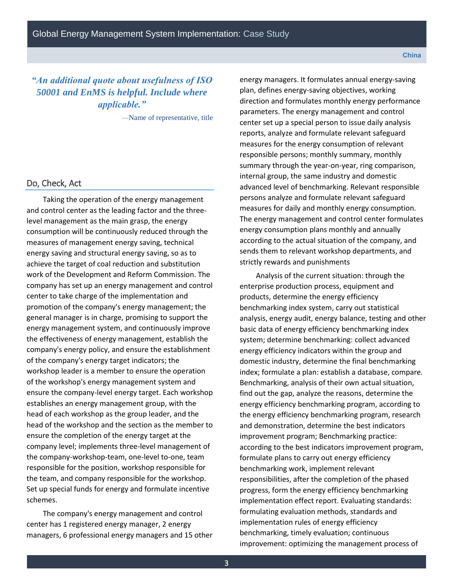## *"An additional quote about usefulness of ISO 50001 and EnMS is helpful. Include where applicable."*

—Name of representative, title

## Do, Check, Act

Taking the operation of the energy management and control center as the leading factor and the threelevel management as the main grasp, the energy consumption will be continuously reduced through the measures of management energy saving, technical energy saving and structural energy saving, so as to achieve the target of coal reduction and substitution work of the Development and Reform Commission. The company has set up an energy management and control center to take charge of the implementation and promotion of the company's energy management; the general manager is in charge, promising to support the energy management system, and continuously improve the effectiveness of energy management, establish the company's energy policy, and ensure the establishment of the company's energy target indicators; the workshop leader is a member to ensure the operation of the workshop's energy management system and ensure the company-level energy target. Each workshop establishes an energy management group, with the head of each workshop as the group leader, and the head of the workshop and the section as the member to ensure the completion of the energy target at the company level; implements three-level management of the company-workshop-team, one-level to-one, team responsible for the position, workshop responsible for the team, and company responsible for the workshop. Set up special funds for energy and formulate incentive schemes.

The company's energy management and control center has 1 registered energy manager, 2 energy managers, 6 professional energy managers and 15 other energy managers. It formulates annual energy-saving plan, defines energy-saving objectives, working direction and formulates monthly energy performance parameters. The energy management and control center set up a special person to issue daily analysis reports, analyze and formulate relevant safeguard measures for the energy consumption of relevant responsible persons; monthly summary, monthly summary through the year-on-year, ring comparison, internal group, the same industry and domestic advanced level of benchmarking. Relevant responsible persons analyze and formulate relevant safeguard measures for daily and monthly energy consumption. The energy management and control center formulates energy consumption plans monthly and annually according to the actual situation of the company, and sends them to relevant workshop departments, and strictly rewards and punishments

Analysis of the current situation: through the enterprise production process, equipment and products, determine the energy efficiency benchmarking index system, carry out statistical analysis, energy audit, energy balance, testing and other basic data of energy efficiency benchmarking index system; determine benchmarking: collect advanced energy efficiency indicators within the group and domestic industry, determine the final benchmarking index; formulate a plan: establish a database, compare. Benchmarking, analysis of their own actual situation, find out the gap, analyze the reasons, determine the energy efficiency benchmarking program, according to the energy efficiency benchmarking program, research and demonstration, determine the best indicators improvement program; Benchmarking practice: according to the best indicators improvement program, formulate plans to carry out energy efficiency benchmarking work, implement relevant responsibilities, after the completion of the phased progress, form the energy efficiency benchmarking implementation effect report. Evaluating standards: formulating evaluation methods, standards and implementation rules of energy efficiency benchmarking, timely evaluation; continuous improvement: optimizing the management process of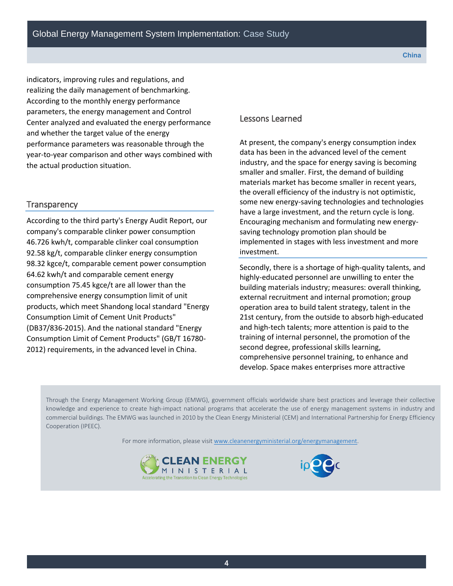indicators, improving rules and regulations, and realizing the daily management of benchmarking. According to the monthly energy performance parameters, the energy management and Control Center analyzed and evaluated the energy performance and whether the target value of the energy performance parameters was reasonable through the year-to-year comparison and other ways combined with the actual production situation.

### **Transparency**

According to the third party's Energy Audit Report, our company's comparable clinker power consumption 46.726 kwh/t, comparable clinker coal consumption 92.58 kg/t, comparable clinker energy consumption 98.32 kgce/t, comparable cement power consumption 64.62 kwh/t and comparable cement energy consumption 75.45 kgce/t are all lower than the comprehensive energy consumption limit of unit products, which meet Shandong local standard "Energy Consumption Limit of Cement Unit Products" (DB37/836-2015). And the national standard "Energy Consumption Limit of Cement Products" (GB/T 16780- 2012) requirements, in the advanced level in China.

#### Lessons Learned

At present, the company's energy consumption index data has been in the advanced level of the cement industry, and the space for energy saving is becoming smaller and smaller. First, the demand of building materials market has become smaller in recent years, the overall efficiency of the industry is not optimistic, some new energy-saving technologies and technologies have a large investment, and the return cycle is long. Encouraging mechanism and formulating new energysaving technology promotion plan should be implemented in stages with less investment and more investment.

Secondly, there is a shortage of high-quality talents, and highly-educated personnel are unwilling to enter the building materials industry; measures: overall thinking, external recruitment and internal promotion; group operation area to build talent strategy, talent in the 21st century, from the outside to absorb high-educated and high-tech talents; more attention is paid to the training of internal personnel, the promotion of the second degree, professional skills learning, comprehensive personnel training, to enhance and develop. Space makes enterprises more attractive

Through the Energy Management Working Group (EMWG), government officials worldwide share best practices and leverage their collective knowledge and experience to create high-impact national programs that accelerate the use of energy management systems in industry and commercial buildings. The EMWG was launched in 2010 by the Clean Energy Ministerial (CEM) and International Partnership for Energy Efficiency Cooperation (IPEEC).

For more information, please visit [www.cleanenergyministerial.org/energymanagement.](http://www.cleanenergyministerial.org/energymanagement)